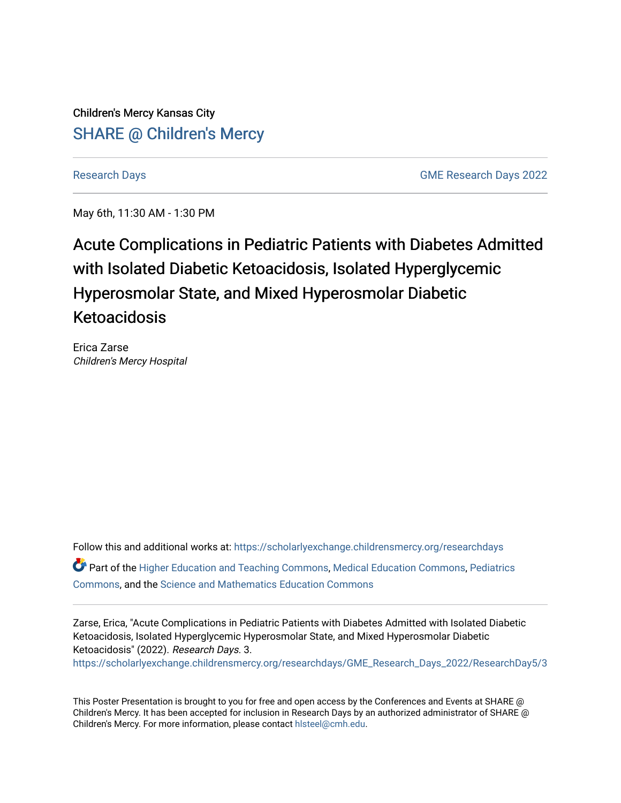Children's Mercy Kansas City SHARE @ Children's Mercy

[Research Days](https://scholarlyexchange.childrensmercy.org/researchdays) [GME Research Days 2022](https://scholarlyexchange.childrensmercy.org/researchdays/GME_Research_Days_2022) 

May 6th, 11:30 AM - 1:30 PM

## Acute Complications in Pediatric Patients with Diabetes Admitted with Isolated Diabetic Ketoacidosis, Isolated Hyperglycemic Hyperosmolar State, and Mixed Hyperosmolar Diabetic Ketoacidosis

Erica Zarse Children's Mercy Hospital

Follow this and additional works at: [https://scholarlyexchange.childrensmercy.org/researchdays](https://scholarlyexchange.childrensmercy.org/researchdays?utm_source=scholarlyexchange.childrensmercy.org%2Fresearchdays%2FGME_Research_Days_2022%2FResearchDay5%2F3&utm_medium=PDF&utm_campaign=PDFCoverPages)  Part of the [Higher Education and Teaching Commons](http://network.bepress.com/hgg/discipline/806?utm_source=scholarlyexchange.childrensmercy.org%2Fresearchdays%2FGME_Research_Days_2022%2FResearchDay5%2F3&utm_medium=PDF&utm_campaign=PDFCoverPages), [Medical Education Commons](http://network.bepress.com/hgg/discipline/1125?utm_source=scholarlyexchange.childrensmercy.org%2Fresearchdays%2FGME_Research_Days_2022%2FResearchDay5%2F3&utm_medium=PDF&utm_campaign=PDFCoverPages), [Pediatrics](http://network.bepress.com/hgg/discipline/700?utm_source=scholarlyexchange.childrensmercy.org%2Fresearchdays%2FGME_Research_Days_2022%2FResearchDay5%2F3&utm_medium=PDF&utm_campaign=PDFCoverPages)  [Commons](http://network.bepress.com/hgg/discipline/700?utm_source=scholarlyexchange.childrensmercy.org%2Fresearchdays%2FGME_Research_Days_2022%2FResearchDay5%2F3&utm_medium=PDF&utm_campaign=PDFCoverPages), and the [Science and Mathematics Education Commons](http://network.bepress.com/hgg/discipline/800?utm_source=scholarlyexchange.childrensmercy.org%2Fresearchdays%2FGME_Research_Days_2022%2FResearchDay5%2F3&utm_medium=PDF&utm_campaign=PDFCoverPages) 

Zarse, Erica, "Acute Complications in Pediatric Patients with Diabetes Admitted with Isolated Diabetic Ketoacidosis, Isolated Hyperglycemic Hyperosmolar State, and Mixed Hyperosmolar Diabetic Ketoacidosis" (2022). Research Days. 3. [https://scholarlyexchange.childrensmercy.org/researchdays/GME\\_Research\\_Days\\_2022/ResearchDay5/3](https://scholarlyexchange.childrensmercy.org/researchdays/GME_Research_Days_2022/ResearchDay5/3?utm_source=scholarlyexchange.childrensmercy.org%2Fresearchdays%2FGME_Research_Days_2022%2FResearchDay5%2F3&utm_medium=PDF&utm_campaign=PDFCoverPages) 

This Poster Presentation is brought to you for free and open access by the Conferences and Events at SHARE @ Children's Mercy. It has been accepted for inclusion in Research Days by an authorized administrator of SHARE @ Children's Mercy. For more information, please contact [hlsteel@cmh.edu](mailto:hlsteel@cmh.edu).